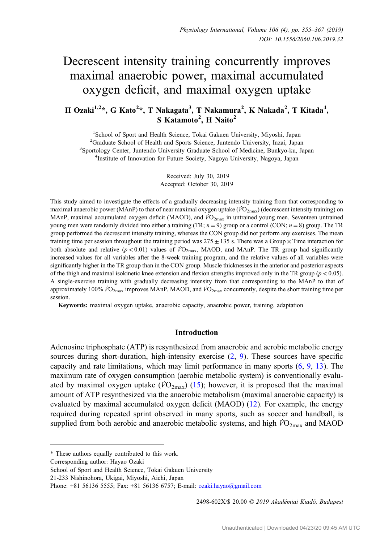# Decrescent intensity training concurrently improves maximal anaerobic power, maximal accumulated oxygen deficit, and maximal oxygen uptake

## H Ozaki<sup>1,2</sup>\*, G Kato<sup>2</sup>\*, T Nakagata<sup>3</sup>, T Nakamura<sup>2</sup>, K Nakada<sup>2</sup>, T Kitada<sup>4</sup>, S Katamoto<sup>2</sup>, H Naito<sup>2</sup>

<sup>1</sup>School of Sport and Health Science, Tokai Gakuen University, Miyoshi, Japan <sup>2</sup>Graduate School of Health and Sports Science, Juntendo University, Inzai, Japan <sup>2</sup>Graduate School of Health and Sports Science, Juntendo University, Inzai, Japan<br><sup>3</sup>Sportology Center, Juntendo University Graduate School of Medicine, Bunkyo-ku, Ja Sportology Center, Juntendo University Graduate School of Medicine, Bunkyo-ku, Japan <sup>4</sup>Institute of Innovation for Euture Society, Nagova University, Nagova, Japan <sup>4</sup>Institute of Innovation for Future Society, Nagoya University, Nagoya, Japan

> Received: July 30, 2019 Accepted: October 30, 2019

This study aimed to investigate the effects of a gradually decreasing intensity training from that corresponding to maximal anaerobic power (MAnP) to that of near maximal oxygen uptake ( $\dot{VQ}_{2\text{max}}$ ) (decrescent intensity training) on MAnP, maximal accumulated oxygen deficit (MAOD), and  $\dot{V}O_{2\text{max}}$  in untrained young men. Seventeen untrained young men were randomly divided into either a training (TR;  $n = 9$ ) group or a control (CON;  $n = 8$ ) group. The TR group performed the decrescent intensity training, whereas the CON group did not perform any exercises. The mean training time per session throughout the training period was  $275 \pm 135$  s. There was a Group  $\times$  Time interaction for both absolute and relative ( $p < 0.01$ ) values of  $\dot{V}O_{2\text{max}}$ , MAOD, and MAnP. The TR group had significantly increased values for all variables after the 8-week training program, and the relative values of all variables were significantly higher in the TR group than in the CON group. Muscle thicknesses in the anterior and posterior aspects of the thigh and maximal isokinetic knee extension and flexion strengths improved only in the TR group ( $p < 0.05$ ). A single-exercise training with gradually decreasing intensity from that corresponding to the MAnP to that of approximately 100%  $\dot{V}O_{2\text{max}}$  improves MAnP, MAOD, and  $\dot{V}O_{2\text{max}}$  concurrently, despite the short training time per session.

Keywords: maximal oxygen uptake, anaerobic capacity, anaerobic power, training, adaptation

#### Introduction

Adenosine triphosphate (ATP) is resynthesized from anaerobic and aerobic metabolic energy sources during short-duration, high-intensity exercise  $(2, 9)$  $(2, 9)$  $(2, 9)$  $(2, 9)$  $(2, 9)$ . These sources have specific capacity and rate limitations, which may limit performance in many sports ([6,](#page-11-0) [9,](#page-11-0) [13](#page-11-0)). The maximum rate of oxygen consumption (aerobic metabolic system) is conventionally evaluated by maximal oxygen uptake ( $\widehat{VO}_{2\text{max}}$ ) ([15\)](#page-11-0); however, it is proposed that the maximal amount of ATP resynthesized via the anaerobic metabolism (maximal anaerobic capacity) is evaluated by maximal accumulated oxygen deficit (MAOD) [\(12](#page-11-0)). For example, the energy required during repeated sprint observed in many sports, such as soccer and handball, is supplied from both aerobic and anaerobic metabolic systems, and high  $\dot{VQ}_{2\text{max}}$  and MAOD

Corresponding author: Hayao Ozaki

2498-602X/\$ 20.00 © 2019 Akadémiai Kiadó, Budapest

<sup>\*</sup> These authors equally contributed to this work.

School of Sport and Health Science, Tokai Gakuen University

<sup>21-233</sup> Nishinohora, Ukigai, Miyoshi, Aichi, Japan

Phone: +81 56136 5555; Fax: +81 56136 6757; E-mail: [ozaki.hayao@gmail.com](mailto:ozaki.hayao@gmail.com)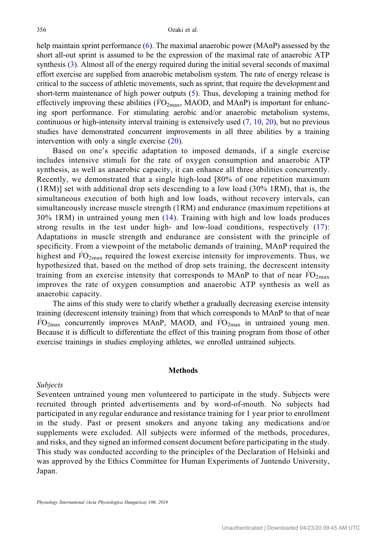help maintain sprint performance [\(6](#page-11-0)). The maximal anaerobic power (MAnP) assessed by the short all-out sprint is assumed to be the expression of the maximal rate of anaerobic ATP synthesis [\(3](#page-11-0)). Almost all of the energy required during the initial several seconds of maximal effort exercise are supplied from anaerobic metabolism system. The rate of energy release is critical to the success of athletic movements, such as sprint, that require the development and short-term maintenance of high power outputs ([5\)](#page-11-0). Thus, developing a training method for effectively improving these abilities ( $\dot{V}O_{2\text{max}}$ , MAOD, and MAnP) is important for enhancing sport performance. For stimulating aerobic and/or anaerobic metabolism systems, continuous or high-intensity interval training is extensively used  $(7, 10, 20)$  $(7, 10, 20)$  $(7, 10, 20)$  $(7, 10, 20)$  $(7, 10, 20)$  $(7, 10, 20)$ , but no previous studies have demonstrated concurrent improvements in all three abilities by a training intervention with only a single exercise ([20\)](#page-12-0).

Based on one's specific adaptation to imposed demands, if a single exercise includes intensive stimuli for the rate of oxygen consumption and anaerobic ATP synthesis, as well as anaerobic capacity, it can enhance all three abilities concurrently. Recently, we demonstrated that a single high-load [80% of one repetition maximum (1RM)] set with additional drop sets descending to a low load (30% 1RM), that is, the simultaneous execution of both high and low loads, without recovery intervals, can simultaneously increase muscle strength (1RM) and endurance (maximum repetitions at 30% 1RM) in untrained young men ([14](#page-11-0)). Training with high and low loads produces strong results in the test under high- and low-load conditions, respectively [\(17\)](#page-12-0): Adaptations in muscle strength and endurance are consistent with the principle of specificity. From a viewpoint of the metabolic demands of training, MAnP required the highest and  $\dot{V}O_{2\text{max}}$  required the lowest exercise intensity for improvements. Thus, we hypothesized that, based on the method of drop sets training, the decrescent intensity training from an exercise intensity that corresponds to MAnP to that of near  $\dot{V}O_{2\text{max}}$ improves the rate of oxygen consumption and anaerobic ATP synthesis as well as anaerobic capacity.

The aims of this study were to clarify whether a gradually decreasing exercise intensity training (decrescent intensity training) from that which corresponds to MAnP to that of near  $\dot{V}O_{2\text{max}}$  concurrently improves MAnP, MAOD, and  $\dot{V}O_{2\text{max}}$  in untrained young men. Because it is difficult to differentiate the effect of this training program from those of other exercise trainings in studies employing athletes, we enrolled untrained subjects.

## Methods

## Subjects

Seventeen untrained young men volunteered to participate in the study. Subjects were recruited through printed advertisements and by word-of-mouth. No subjects had participated in any regular endurance and resistance training for 1 year prior to enrollment in the study. Past or present smokers and anyone taking any medications and/or supplements were excluded. All subjects were informed of the methods, procedures, and risks, and they signed an informed consent document before participating in the study. This study was conducted according to the principles of the Declaration of Helsinki and was approved by the Ethics Committee for Human Experiments of Juntendo University, Japan.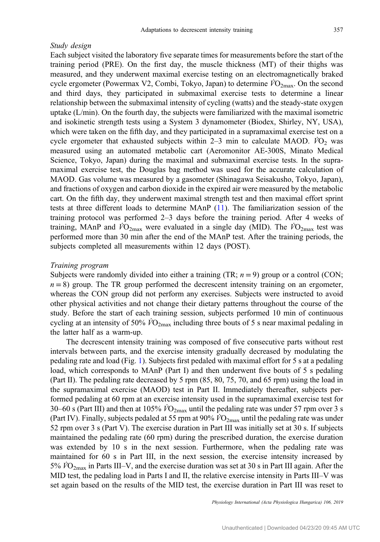## Study design

Each subject visited the laboratory five separate times for measurements before the start of the training period (PRE). On the first day, the muscle thickness (MT) of their thighs was measured, and they underwent maximal exercise testing on an electromagnetically braked cycle ergometer (Powermax V2, Combi, Tokyo, Japan) to determine  $\dot{V}O_{2\text{max}}$ . On the second and third days, they participated in submaximal exercise tests to determine a linear relationship between the submaximal intensity of cycling (watts) and the steady-state oxygen uptake (L/min). On the fourth day, the subjects were familiarized with the maximal isometric and isokinetic strength tests using a System 3 dynamometer (Biodex, Shirley, NY, USA), which were taken on the fifth day, and they participated in a supramaximal exercise test on a cycle ergometer that exhausted subjects within  $2-3$  min to calculate MAOD.  $\dot{V}O<sub>2</sub>$  was measured using an automated metabolic cart (Aeromonitor AE-300S, Minato Medical Science, Tokyo, Japan) during the maximal and submaximal exercise tests. In the supramaximal exercise test, the Douglas bag method was used for the accurate calculation of MAOD. Gas volume was measured by a gasometer (Shinagawa Seisakusho, Tokyo, Japan), and fractions of oxygen and carbon dioxide in the expired air were measured by the metabolic cart. On the fifth day, they underwent maximal strength test and then maximal effort sprint tests at three different loads to determine MAnP ([11\)](#page-11-0). The familiarization session of the training protocol was performed 2–3 days before the training period. After 4 weeks of training, MAnP and  $\dot{V}O_{2\text{max}}$  were evaluated in a single day (MID). The  $\dot{V}O_{2\text{max}}$  test was performed more than 30 min after the end of the MAnP test. After the training periods, the subjects completed all measurements within 12 days (POST).

#### Training program

Subjects were randomly divided into either a training (TR;  $n = 9$ ) group or a control (CON;  $n = 8$ ) group. The TR group performed the decrescent intensity training on an ergometer, whereas the CON group did not perform any exercises. Subjects were instructed to avoid other physical activities and not change their dietary patterns throughout the course of the study. Before the start of each training session, subjects performed 10 min of continuous cycling at an intensity of 50%  $\dot{V}O_{2\text{max}}$  including three bouts of 5 s near maximal pedaling in the latter half as a warm-up.

The decrescent intensity training was composed of five consecutive parts without rest intervals between parts, and the exercise intensity gradually decreased by modulating the pedaling rate and load (Fig. [1](#page-3-0)). Subjects first pedaled with maximal effort for 5 s at a pedaling load, which corresponds to MAnP (Part I) and then underwent five bouts of 5 s pedaling (Part II). The pedaling rate decreased by 5 rpm (85, 80, 75, 70, and 65 rpm) using the load in the supramaximal exercise (MAOD) test in Part II. Immediately thereafter, subjects performed pedaling at 60 rpm at an exercise intensity used in the supramaximal exercise test for 30–60 s (Part III) and then at 105%  $\dot{V}\text{O}_{2\text{max}}$  until the pedaling rate was under 57 rpm over 3 s (Part IV). Finally, subjects pedaled at 55 rpm at 90%  $\dot{V}O_{2\text{max}}$  until the pedaling rate was under 52 rpm over 3 s (Part V). The exercise duration in Part III was initially set at 30 s. If subjects maintained the pedaling rate (60 rpm) during the prescribed duration, the exercise duration was extended by 10 s in the next session. Furthermore, when the pedaling rate was maintained for 60 s in Part III, in the next session, the exercise intensity increased by 5%  $\dot{V}O_{2\text{max}}$  in Parts III–V, and the exercise duration was set at 30 s in Part III again. After the MID test, the pedaling load in Parts I and II, the relative exercise intensity in Parts III–V was set again based on the results of the MID test, the exercise duration in Part III was reset to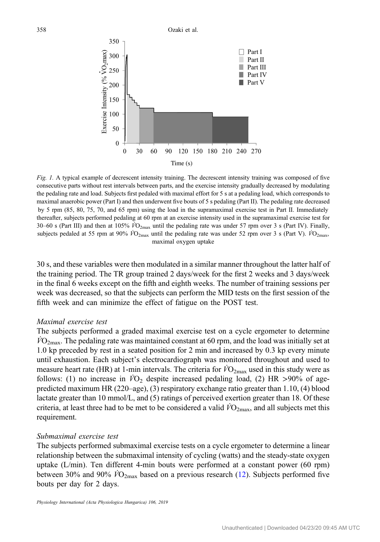<span id="page-3-0"></span>

Fig. 1. A typical example of decrescent intensity training. The decrescent intensity training was composed of five consecutive parts without rest intervals between parts, and the exercise intensity gradually decreased by modulating the pedaling rate and load. Subjects first pedaled with maximal effort for 5 s at a pedaling load, which corresponds to maximal anaerobic power (Part I) and then underwent five bouts of 5 s pedaling (Part II). The pedaling rate decreased by 5 rpm (85, 80, 75, 70, and 65 rpm) using the load in the supramaximal exercise test in Part II. Immediately thereafter, subjects performed pedaling at 60 rpm at an exercise intensity used in the supramaximal exercise test for 30–60 s (Part III) and then at 105%  $\dot{V}\text{O}_{2\text{max}}$  until the pedaling rate was under 57 rpm over 3 s (Part IV). Finally, subjects pedaled at 55 rpm at 90%  $\dot{V}O_{2\text{max}}$  until the pedaling rate was under 52 rpm over 3 s (Part V).  $\dot{V}O_{2\text{max}}$ , maximal oxygen uptake

30 s, and these variables were then modulated in a similar manner throughout the latter half of the training period. The TR group trained 2 days/week for the first 2 weeks and 3 days/week in the final 6 weeks except on the fifth and eighth weeks. The number of training sessions per week was decreased, so that the subjects can perform the MID tests on the first session of the fifth week and can minimize the effect of fatigue on the POST test.

## Maximal exercise test

The subjects performed a graded maximal exercise test on a cycle ergometer to determine  $\dot{V}O_{2\text{max}}$ . The pedaling rate was maintained constant at 60 rpm, and the load was initially set at 1.0 kp preceded by rest in a seated position for 2 min and increased by 0.3 kp every minute until exhaustion. Each subject's electrocardiograph was monitored throughout and used to measure heart rate (HR) at 1-min intervals. The criteria for  $\dot{V}O_{2\text{max}}$  used in this study were as follows: (1) no increase in  $\dot{V}O_2$  despite increased pedaling load, (2) HR >90% of agepredicted maximum HR (220–age), (3) respiratory exchange ratio greater than 1.10, (4) blood lactate greater than 10 mmol/L, and (5) ratings of perceived exertion greater than 18. Of these criteria, at least three had to be met to be considered a valid  $\dot{VQ}_{2\text{max}}$ , and all subjects met this requirement.

## Submaximal exercise test

The subjects performed submaximal exercise tests on a cycle ergometer to determine a linear relationship between the submaximal intensity of cycling (watts) and the steady-state oxygen uptake (L/min). Ten different 4-min bouts were performed at a constant power (60 rpm) between 30% and 90%  $\dot{V}O_{2\text{max}}$  based on a previous research [\(12](#page-11-0)). Subjects performed five bouts per day for 2 days.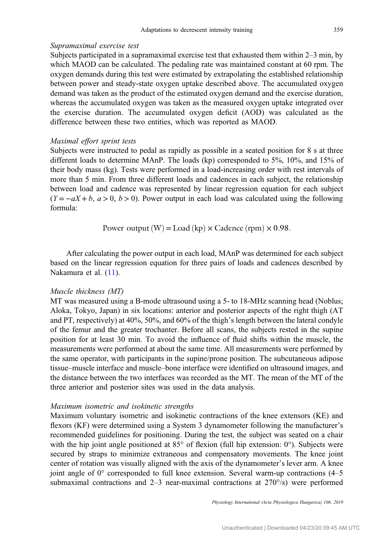## Supramaximal exercise test

Subjects participated in a supramaximal exercise test that exhausted them within 2–3 min, by which MAOD can be calculated. The pedaling rate was maintained constant at 60 rpm. The oxygen demands during this test were estimated by extrapolating the established relationship between power and steady-state oxygen uptake described above. The accumulated oxygen demand was taken as the product of the estimated oxygen demand and the exercise duration, whereas the accumulated oxygen was taken as the measured oxygen uptake integrated over the exercise duration. The accumulated oxygen deficit (AOD) was calculated as the difference between these two entities, which was reported as MAOD.

## Maximal effort sprint tests

Subjects were instructed to pedal as rapidly as possible in a seated position for 8 s at three different loads to determine MAnP. The loads (kp) corresponded to 5%, 10%, and 15% of their body mass (kg). Tests were performed in a load-increasing order with rest intervals of more than 5 min. From three different loads and cadences in each subject, the relationship between load and cadence was represented by linear regression equation for each subject  $(Y = -aX + b, a > 0, b > 0)$ . Power output in each load was calculated using the following formula:

Power outputðW<sup>Þ</sup> <sup>=</sup>Load <sup>ð</sup>kp<sup>Þ</sup> <sup>×</sup> Cadence <sup>ð</sup>rpm<sup>Þ</sup> <sup>×</sup> 0.98:

After calculating the power output in each load, MAnP was determined for each subject based on the linear regression equation for three pairs of loads and cadences described by Nakamura et al. ([11\)](#page-11-0).

## Muscle thickness (MT)

MT was measured using a B-mode ultrasound using a 5- to 18-MHz scanning head (Noblus; Aloka, Tokyo, Japan) in six locations: anterior and posterior aspects of the right thigh (AT and PT, respectively) at 40%, 50%, and 60% of the thigh's length between the lateral condyle of the femur and the greater trochanter. Before all scans, the subjects rested in the supine position for at least 30 min. To avoid the influence of fluid shifts within the muscle, the measurements were performed at about the same time. All measurements were performed by the same operator, with participants in the supine/prone position. The subcutaneous adipose tissue–muscle interface and muscle–bone interface were identified on ultrasound images, and the distance between the two interfaces was recorded as the MT. The mean of the MT of the three anterior and posterior sites was used in the data analysis.

#### Maximum isometric and isokinetic strengths

Maximum voluntary isometric and isokinetic contractions of the knee extensors (KE) and flexors (KF) were determined using a System 3 dynamometer following the manufacturer's recommended guidelines for positioning. During the test, the subject was seated on a chair with the hip joint angle positioned at  $85^\circ$  of flexion (full hip extension: 0°). Subjects were secured by straps to minimize extraneous and compensatory movements. The knee joint center of rotation was visually aligned with the axis of the dynamometer's lever arm. A knee joint angle of 0° corresponded to full knee extension. Several warm-up contractions (4–5 submaximal contractions and  $2-3$  near-maximal contractions at  $270^{\circ}/s$ ) were performed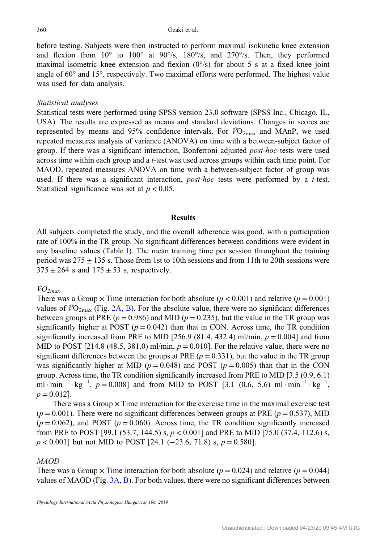before testing. Subjects were then instructed to perform maximal isokinetic knee extension and flexion from  $10^{\circ}$  to  $100^{\circ}$  at  $90^{\circ}/s$ ,  $180^{\circ}/s$ , and  $270^{\circ}/s$ . Then, they performed maximal isometric knee extension and flexion  $(0^{\circ}/s)$  for about 5 s at a fixed knee joint angle of 60° and 15°, respectively. Two maximal efforts were performed. The highest value was used for data analysis.

## Statistical analyses

Statistical tests were performed using SPSS version 23.0 software (SPSS Inc., Chicago, IL, USA). The results are expressed as means and standard deviations. Changes in scores are represented by means and 95% confidence intervals. For  $\dot{V}O_{2\text{max}}$  and MAnP, we used repeated measures analysis of variance (ANOVA) on time with a between-subject factor of group. If there was a significant interaction, Bonferroni adjusted post-hoc tests were used across time within each group and a t-test was used across groups within each time point. For MAOD, repeated measures ANOVA on time with a between-subject factor of group was used. If there was a significant interaction,  $post-hoc$  tests were performed by a  $t$ -test. Statistical significance was set at  $p < 0.05$ .

#### Results

All subjects completed the study, and the overall adherence was good, with a participation rate of 100% in the TR group. No significant differences between conditions were evident in any baseline values (Table [I\)](#page-6-0). The mean training time per session throughout the training period was  $275 \pm 135$  s. Those from 1st to 10th sessions and from 11th to 20th sessions were  $375 \pm 264$  s and  $175 \pm 53$  s, respectively.

## $\dot{V}O_{2max}$

There was a Group  $\times$  Time interaction for both absolute ( $p < 0.001$ ) and relative ( $p = 0.001$ ) values of  $\overline{VQ}_{2\text{max}}$  (Fig. [2A](#page-7-0), [B](#page-7-0)). For the absolute value, there were no significant differences between groups at PRE ( $p = 0.986$ ) and MID ( $p = 0.235$ ), but the value in the TR group was significantly higher at POST ( $p = 0.042$ ) than that in CON. Across time, the TR condition significantly increased from PRE to MID [256.9 (81.4, 432.4) ml/min,  $p = 0.004$ ] and from MID to POST [214.8 (48.5, 381.0) ml/min,  $p = 0.010$ ]. For the relative value, there were no significant differences between the groups at PRE  $(p = 0.331)$ , but the value in the TR group was significantly higher at MID ( $p = 0.048$ ) and POST ( $p = 0.005$ ) than that in the CON group. Across time, the TR condition significantly increased from PRE to MID [3.5 (0.9, 6.1) ml · min<sup>-1</sup> · kg<sup>-1</sup>, p = 0.008] and from MID to POST [3.1 (0.6, 5.6) ml · min<sup>-1</sup> · kg<sup>-1</sup>,  $p = 0.012$ .

There was a Group  $\times$  Time interaction for the exercise time in the maximal exercise test  $(p = 0.001)$ . There were no significant differences between groups at PRE  $(p = 0.537)$ , MID  $(p = 0.062)$ , and POST  $(p = 0.060)$ . Across time, the TR condition significantly increased from PRE to POST [99.1 (53.7, 144.5) s,  $p < 0.001$ ] and PRE to MID [75.0 (37.4, 112.6) s,  $p < 0.001$ ] but not MID to POST [24.1 (-23.6, 71.8) s,  $p = 0.580$ ].

## MAOD

There was a Group  $\times$  Time interaction for both absolute ( $p = 0.024$ ) and relative ( $p = 0.044$ ) values of MAOD (Fig. [3A,](#page-7-0) [B](#page-7-0)). For both values, there were no significant differences between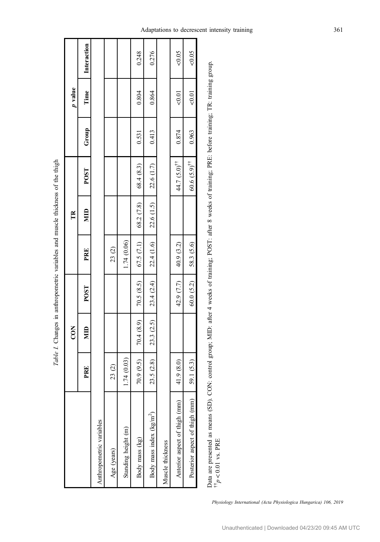<span id="page-6-0"></span>

|                                |             |                  |              | The model of the community of the community of the community of the community of the community of the community of the community of the community of the community of the community of the community of the community of the c |              |                                |       |              |             |
|--------------------------------|-------------|------------------|--------------|--------------------------------------------------------------------------------------------------------------------------------------------------------------------------------------------------------------------------------|--------------|--------------------------------|-------|--------------|-------------|
|                                |             | $\overline{CON}$ |              |                                                                                                                                                                                                                                | Ě            |                                |       | p value      |             |
|                                | PRE         | <b>NID</b>       | POST         | PRE                                                                                                                                                                                                                            | $\mathbf{H}$ | POST                           | Group | Time         | Interaction |
| Anthropometric variables       |             |                  |              |                                                                                                                                                                                                                                |              |                                |       |              |             |
| Age (years)                    | 23(2)       |                  |              | 23(2)                                                                                                                                                                                                                          |              |                                |       |              |             |
| Standing height (m)            | 1.74 (0.03) |                  |              | 1.74 (0.06)                                                                                                                                                                                                                    |              |                                |       |              |             |
| Body mass (kg)                 | 70.9 (9.5)  | 70.4(8.9)        | 70.5(8.5)    | 67.5(7.1)                                                                                                                                                                                                                      | 68.2(7.8)    | 68.4 (8.3)                     | 0.531 | 0.804        | 0.248       |
| Body mass index $(kg/m^2)$     | 23.5 (2.8)  | 23.3 (2.5)       | 23.4 (2.4)   | 22.4 (1.6)                                                                                                                                                                                                                     | 22.6 (1.5)   | 22.6 (1.7)                     | 0.413 | 0.864        | 0.276       |
| Muscle thickness               |             |                  |              |                                                                                                                                                                                                                                |              |                                |       |              |             |
| Anterior aspect of thigh (mm)  | 41.9 (8.0)  |                  | 42.9 $(7.7)$ | 40.9 (3.2)                                                                                                                                                                                                                     |              | 44.7 (5.0) <sup>11</sup>       | 0.874 | ${}_{<0.01}$ | &0.05       |
| Posterior aspect of thigh (mm) | 59.1 (5.3)  |                  | 60.0(5.2)    | 58.3 (5.6)                                                                                                                                                                                                                     |              | $60.6(5.9)^{\uparrow\uparrow}$ | 0.963 | 0.01         | &0.05       |
|                                |             |                  |              |                                                                                                                                                                                                                                |              |                                |       |              |             |

Table I. Changes in anthropometric variables and muscle thickness of the thigh Table I. Changes in anthropometric variables and muscle thickness of the thigh Data are presented as means (SD). CON: control group; MID: after 4 weeks of training; POST: after 8 weeks of training; PRE: before training; TR: training group.  $\leq p_{\perp}$  $< 0.01$  vs. PRE

Adaptations to decrescent intensity training 361

Physiology International (Acta Physiologica Hungarica) 106, 2019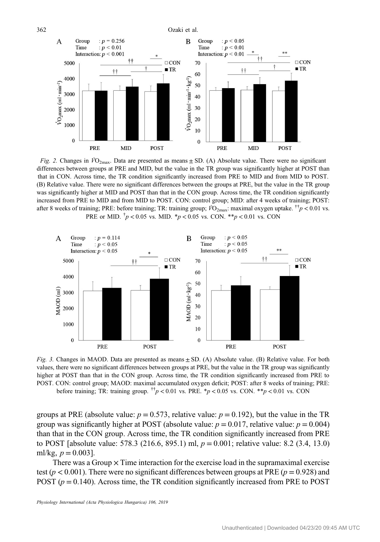<span id="page-7-0"></span>362 Ozaki et al.  $: p = 0.256$  $: p < 0.05$  $\mathbf{A}$ Group B Group  $: p < 0.01$ Time Time  $: p < 0.01$ Interaction:  $p < 0.001$ Interaction:  $p < 0.01$  $+$  $\Box$  CON  $\Box$ CON 5000 70  $\blacksquare$  TR  $\blacksquare$  TR  $++$  $\dagger$ 60 4000  $\dot{V}O_2$ max (ml·min<sup>-1</sup>·kg<sup>-1</sup>)  $\dot{V}O_2$ max (ml·min<sup>-1</sup>) 50 3000 40  $30$ 2000 20 1000 10  $\mathbf{0}$  $\Omega$ PRE **MID POST** PRE **MID** POST

Fig. 2. Changes in  $\dot{V}O_{2\text{max}}$ . Data are presented as means  $\pm$  SD. (A) Absolute value. There were no significant differences between groups at PRE and MID, but the value in the TR group was significantly higher at POST than that in CON. Across time, the TR condition significantly increased from PRE to MID and from MID to POST. (B) Relative value. There were no significant differences between the groups at PRE, but the value in the TR group was significantly higher at MID and POST than that in the CON group. Across time, the TR condition significantly increased from PRE to MID and from MID to POST. CON: control group; MID: after 4 weeks of training; POST: after 8 weeks of training; PRE: before training; TR: training group;  $\dot{V}O_{2\text{max}}$ : maximal oxygen uptake.  $\dot{v}$   $\sim$  0.01 vs. PRE or MID.  $\frac{1}{p}$  < 0.05 vs. MID.  $\frac{1}{p}$  < 0.05 vs. CON.  $\frac{1}{p}$  < 0.01 vs. CON



Fig. 3. Changes in MAOD. Data are presented as means  $\pm$  SD. (A) Absolute value. (B) Relative value. For both values, there were no significant differences between groups at PRE, but the value in the TR group was significantly higher at POST than that in the CON group. Across time, the TR condition significantly increased from PRE to POST. CON: control group; MAOD: maximal accumulated oxygen deficit; POST: after 8 weeks of training; PRE: before training; TR: training group.  $\frac{1}{p}$  < 0.01 vs. PRE. \*p < 0.05 vs. CON. \*\*p < 0.01 vs. CON

groups at PRE (absolute value:  $p = 0.573$ , relative value:  $p = 0.192$ ), but the value in the TR group was significantly higher at POST (absolute value:  $p = 0.017$ , relative value:  $p = 0.004$ ) than that in the CON group. Across time, the TR condition significantly increased from PRE to POST [absolute value: 578.3 (216.6, 895.1) ml,  $p = 0.001$ ; relative value: 8.2 (3.4, 13.0) ml/kg,  $p = 0.003$ ].

There was a Group  $\times$  Time interaction for the exercise load in the supramaximal exercise test ( $p < 0.001$ ). There were no significant differences between groups at PRE ( $p = 0.928$ ) and POST ( $p = 0.140$ ). Across time, the TR condition significantly increased from PRE to POST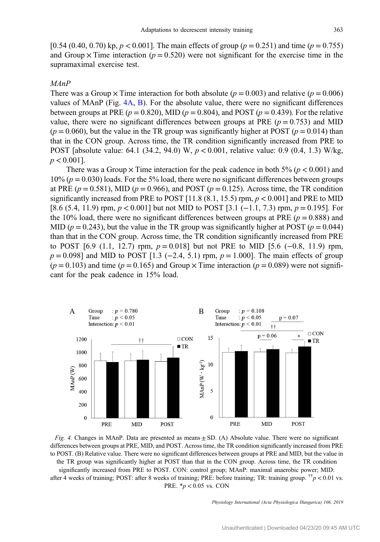[0.54 (0.40, 0.70) kp,  $p < 0.001$ ]. The main effects of group ( $p = 0.251$ ) and time ( $p = 0.755$ ) and Group  $\times$  Time interaction ( $p = 0.520$ ) were not significant for the exercise time in the supramaximal exercise test.

## MAnP

There was a Group  $\times$  Time interaction for both absolute ( $p = 0.003$ ) and relative ( $p = 0.006$ ) values of MAnP (Fig. 4A, B). For the absolute value, there were no significant differences between groups at PRE ( $p = 0.820$ ), MID ( $p = 0.804$ ), and POST ( $p = 0.439$ ). For the relative value, there were no significant differences between groups at PRE ( $p = 0.753$ ) and MID  $(p = 0.060)$ , but the value in the TR group was significantly higher at POST  $(p = 0.014)$  than that in the CON group. Across time, the TR condition significantly increased from PRE to POST [absolute value: 64.1 (34.2, 94.0) W,  $p < 0.001$ , relative value: 0.9 (0.4, 1.3) W/kg,  $p < 0.001$ ].

There was a Group  $\times$  Time interaction for the peak cadence in both 5% ( $p < 0.001$ ) and  $10\%$  ( $p = 0.030$ ) loads. For the 5% load, there were no significant differences between groups at PRE ( $p = 0.581$ ), MID ( $p = 0.966$ ), and POST ( $p = 0.125$ ). Across time, the TR condition significantly increased from PRE to POST [11.8  $(8.1, 15.5)$  rpm,  $p < 0.001$ ] and PRE to MID [8.6 (5.4, 11.9) rpm, p < 0.001] but not MID to POST [3.1 (−1.1, 7.3) rpm, p = 0.195]. For the 10% load, there were no significant differences between groups at PRE ( $p = 0.888$ ) and MID ( $p = 0.243$ ), but the value in the TR group was significantly higher at POST ( $p = 0.044$ ) than that in the CON group. Across time, the TR condition significantly increased from PRE to POST [6.9 (1.1, 12.7) rpm,  $p = 0.018$ ] but not PRE to MID [5.6 (-0.8, 11.9) rpm,  $p = 0.098$ ] and MID to POST [1.3 (−2.4, 5.1) rpm,  $p = 1.000$ ]. The main effects of group  $(p = 0.103)$  and time  $(p = 0.165)$  and Group  $\times$  Time interaction  $(p = 0.089)$  were not significant for the peak cadence in 15% load.





PRE.  $*p < 0.05$  vs. CON

Physiology International (Acta Physiologica Hungarica) 106, 2019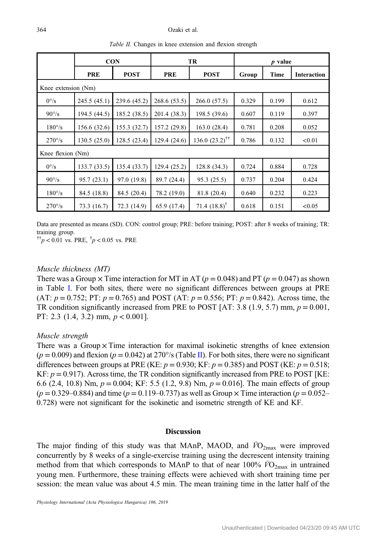|                     | <b>CON</b>   |              | TR           |                              | $p$ value |       |             |  |  |  |
|---------------------|--------------|--------------|--------------|------------------------------|-----------|-------|-------------|--|--|--|
|                     | <b>PRE</b>   | <b>POST</b>  | <b>PRE</b>   | <b>POST</b>                  | Group     | Time  | Interaction |  |  |  |
| Knee extension (Nm) |              |              |              |                              |           |       |             |  |  |  |
| $0^{\circ}/s$       | 245.5(45.1)  | 239.6 (45.2) | 268.6 (53.5) | 266.0 (57.5)                 | 0.329     | 0.199 | 0.612       |  |  |  |
| $90^{\circ}/s$      | 194.5 (44.5) | 185.2 (38.5) | 201.4 (38.3) | 198.5 (39.6)                 | 0.607     | 0.119 | 0.397       |  |  |  |
| $180^{\circ}/s$     | 156.6 (32.6) | 155.3 (32.7) | 157.2 (29.8) | 163.0(28.4)                  | 0.781     | 0.208 | 0.052       |  |  |  |
| $270^{\circ}/s$     | 130.5(25.0)  | 128.5(23.4)  | 129.4(24.6)  | $136.0 (23.2)$ <sup>††</sup> | 0.786     | 0.132 | < 0.01      |  |  |  |
| Knee flexion (Nm)   |              |              |              |                              |           |       |             |  |  |  |
| $0^{\circ}/s$       | 133.7(33.5)  | 135.4 (33.7) | 129.4(25.2)  | 128.8 (34.3)                 | 0.724     | 0.884 | 0.728       |  |  |  |
| $90^{\circ}/s$      | 95.7(23.1)   | 97.0 (19.8)  | 89.7 (24.4)  | 95.3 (25.5)                  | 0.737     | 0.204 | 0.424       |  |  |  |
| $180^{\circ}/s$     | 84.5 (18.8)  | 84.5 (20.4)  | 78.2 (19.0)  | 81.8 (20.4)                  | 0.640     | 0.232 | 0.223       |  |  |  |
| $270^{\circ}/s$     | 73.3 (16.7)  | 72.3 (14.9)  | 65.9 (17.4)  | 71.4 $(18.8)^{\dagger}$      | 0.618     | 0.151 | < 0.05      |  |  |  |

Table II. Changes in knee extension and flexion strength

Data are presented as means (SD). CON: control group; PRE: before training; POST: after 8 weeks of training; TR: training group.

 $\frac{1}{10}$   $p$  < 0.01 vs. PRE,  $\frac{1}{1}$   $p$  < 0.05 vs. PRE

## Muscle thickness (MT)

There was a Group  $\times$  Time interaction for MT in AT ( $p = 0.048$ ) and PT ( $p = 0.047$ ) as shown in Table [I](#page-6-0). For both sites, there were no significant differences between groups at PRE (AT:  $p = 0.752$ ; PT:  $p = 0.765$ ) and POST (AT:  $p = 0.556$ ; PT:  $p = 0.842$ ). Across time, the TR condition significantly increased from PRE to POST [AT: 3.8 (1.9, 5.7) mm,  $p = 0.001$ , PT: 2.3 (1.4, 3.2) mm,  $p < 0.001$ ].

## Muscle strength

There was a Group  $\times$  Time interaction for maximal isokinetic strengths of knee extension  $(p = 0.009)$  and flexion  $(p = 0.042)$  at 270 $\degree$ /s (Table II). For both sites, there were no significant differences between groups at PRE (KE:  $p = 0.930$ ; KF:  $p = 0.385$ ) and POST (KE:  $p = 0.518$ ; KF:  $p = 0.917$ ). Across time, the TR condition significantly increased from PRE to POST [KE: 6.6 (2.4, 10.8) Nm,  $p = 0.004$ ; KF: 5.5 (1.2, 9.8) Nm,  $p = 0.016$ ]. The main effects of group  $(p = 0.329 - 0.884)$  and time  $(p = 0.119 - 0.737)$  as well as Group  $\times$  Time interaction  $(p = 0.052 - 0.884)$ 0.728) were not significant for the isokinetic and isometric strength of KE and KF.

#### **Discussion**

The major finding of this study was that MAnP, MAOD, and  $\dot{V}O_{2\text{max}}$  were improved concurrently by 8 weeks of a single-exercise training using the decrescent intensity training method from that which corresponds to MAnP to that of near 100%  $\dot{V}O_{2\text{max}}$  in untrained young men. Furthermore, these training effects were achieved with short training time per session: the mean value was about 4.5 min. The mean training time in the latter half of the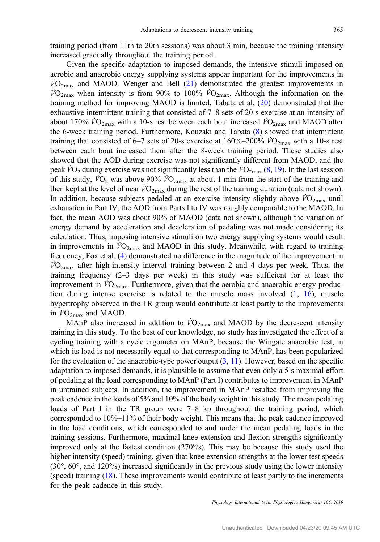training period (from 11th to 20th sessions) was about 3 min, because the training intensity increased gradually throughout the training period.

Given the specific adaptation to imposed demands, the intensive stimuli imposed on aerobic and anaerobic energy supplying systems appear important for the improvements in  $\overline{VO}_{2\text{max}}$  and MAOD. Wenger and Bell [\(21](#page-12-0)) demonstrated the greatest improvements in  $\dot{V}O_{2\text{max}}$  when intensity is from 90% to 100%  $\dot{V}O_{2\text{max}}$ . Although the information on the training method for improving MAOD is limited, Tabata et al. ([20\)](#page-12-0) demonstrated that the exhaustive intermittent training that consisted of 7–8 sets of 20-s exercise at an intensity of about 170%  $\dot{V}\text{O}_{2\text{max}}$  with a 10-s rest between each bout increased  $\dot{V}\text{O}_{2\text{max}}$  and MAOD after the 6-week training period. Furthermore, Kouzaki and Tabata [\(8](#page-11-0)) showed that intermittent training that consisted of 6–7 sets of 20-s exercise at 160%–200%  $\dot{V}O_{2\text{max}}$  with a 10-s rest between each bout increased them after the 8-week training period. These studies also showed that the AOD during exercise was not significantly different from MAOD, and the peak  $\dot{V}O_2$  during exercise was not significantly less than the  $\dot{V}O_{2\text{max}}(8, 19)$  $\dot{V}O_{2\text{max}}(8, 19)$  $\dot{V}O_{2\text{max}}(8, 19)$  $\dot{V}O_{2\text{max}}(8, 19)$  $\dot{V}O_{2\text{max}}(8, 19)$ . In the last session of this study,  $\dot{V}O_2$  was above 90%  $\dot{V}O_{2\text{max}}$  at about 1 min from the start of the training and then kept at the level of near  $\dot{V}O_{2\text{max}}$  during the rest of the training duration (data not shown). In addition, because subjects pedaled at an exercise intensity slightly above  $\dot{V}O_{2\text{max}}$  until exhaustion in Part IV, the AOD from Parts I to IV was roughly comparable to the MAOD. In fact, the mean AOD was about 90% of MAOD (data not shown), although the variation of energy demand by acceleration and deceleration of pedaling was not made considering its calculation. Thus, imposing intensive stimuli on two energy supplying systems would result in improvements in  $\hat{V}_{\text{O}_{2\text{max}}}$  and MAOD in this study. Meanwhile, with regard to training frequency, Fox et al. ([4\)](#page-11-0) demonstrated no difference in the magnitude of the improvement in  $\dot{V}O_{2\text{max}}$  after high-intensity interval training between 2 and 4 days per week. Thus, the training frequency (2–3 days per week) in this study was sufficient for at least the improvement in  $\dot{VQ}_{2\text{max}}$ . Furthermore, given that the aerobic and anaerobic energy production during intense exercise is related to the muscle mass involved  $(1, 16)$  $(1, 16)$  $(1, 16)$  $(1, 16)$ , muscle hypertrophy observed in the TR group would contribute at least partly to the improvements in  $\dot{V}O_{2\text{max}}$  and MAOD.

MAnP also increased in addition to  $\dot{V}O_{2\text{max}}$  and MAOD by the decrescent intensity training in this study. To the best of our knowledge, no study has investigated the effect of a cycling training with a cycle ergometer on MAnP, because the Wingate anaerobic test, in which its load is not necessarily equal to that corresponding to MAnP, has been popularized for the evaluation of the anaerobic-type power output  $(3, 11)$  $(3, 11)$  $(3, 11)$  $(3, 11)$ . However, based on the specific adaptation to imposed demands, it is plausible to assume that even only a 5-s maximal effort of pedaling at the load corresponding to MAnP (Part I) contributes to improvement in MAnP in untrained subjects. In addition, the improvement in MAnP resulted from improving the peak cadence in the loads of 5% and 10% of the body weight in this study. The mean pedaling loads of Part I in the TR group were  $7-8$  kp throughout the training period, which corresponded to 10%–11% of their body weight. This means that the peak cadence improved in the load conditions, which corresponded to and under the mean pedaling loads in the training sessions. Furthermore, maximal knee extension and flexion strengths significantly improved only at the fastest condition  $(270^{\circ}/s)$ . This may be because this study used the higher intensity (speed) training, given that knee extension strengths at the lower test speeds  $(30^{\circ}, 60^{\circ}, \text{and } 120^{\circ/s})$  increased significantly in the previous study using the lower intensity (speed) training [\(18](#page-12-0)). These improvements would contribute at least partly to the increments for the peak cadence in this study.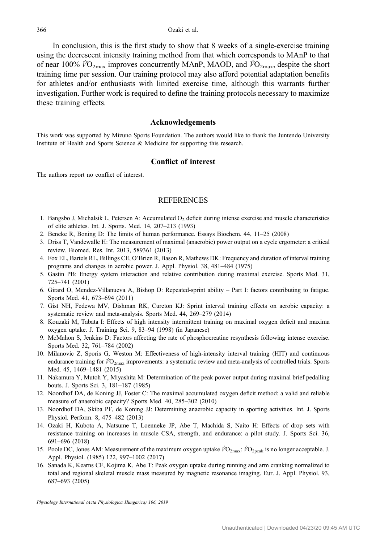<span id="page-11-0"></span>In conclusion, this is the first study to show that 8 weeks of a single-exercise training using the decrescent intensity training method from that which corresponds to MAnP to that of near 100%  $\dot{V}O_{2\text{max}}$  improves concurrently MAnP, MAOD, and  $\dot{V}O_{2\text{max}}$ , despite the short training time per session. Our training protocol may also afford potential adaptation benefits for athletes and/or enthusiasts with limited exercise time, although this warrants further investigation. Further work is required to define the training protocols necessary to maximize these training effects.

#### Acknowledgements

This work was supported by Mizuno Sports Foundation. The authors would like to thank the Juntendo University Institute of Health and Sports Science & Medicine for supporting this research.

## Conflict of interest

The authors report no conflict of interest.

## **REFERENCES**

- 1. Bangsbo J, Michalsik L, Petersen A: Accumulated  $O<sub>2</sub>$  deficit during intense exercise and muscle characteristics of elite athletes. Int. J. Sports. Med. 14, 207–213 (1993)
- 2. Beneke R, Boning D: The limits of human performance. Essays Biochem. 44, 11–25 (2008)
- 3. Driss T, Vandewalle H: The measurement of maximal (anaerobic) power output on a cycle ergometer: a critical review. Biomed. Res. Int. 2013, 589361 (2013)
- 4. Fox EL, Bartels RL, Billings CE, O'Brien R, Bason R, Mathews DK: Frequency and duration of interval training programs and changes in aerobic power. J. Appl. Physiol. 38, 481–484 (1975)
- 5. Gastin PB: Energy system interaction and relative contribution during maximal exercise. Sports Med. 31, 725–741 (2001)
- 6. Girard O, Mendez-Villanueva A, Bishop D: Repeated-sprint ability Part I: factors contributing to fatigue. Sports Med. 41, 673–694 (2011)
- 7. Gist NH, Fedewa MV, Dishman RK, Cureton KJ: Sprint interval training effects on aerobic capacity: a systematic review and meta-analysis. Sports Med. 44, 269–279 (2014)
- 8. Kouzaki M, Tabata I: Effects of high intensity intermittent training on maximal oxygen deficit and maxima oxygen uptake. J. Training Sci. 9, 83–94 (1998) (in Japanese)
- 9. McMahon S, Jenkins D: Factors affecting the rate of phosphocreatine resynthesis following intense exercise. Sports Med. 32, 761–784 (2002)
- 10. Milanovic Z, Sporis G, Weston M: Effectiveness of high-intensity interval training (HIT) and continuous endurance training for  $\dot{V}O_{2\text{max}}$  improvements: a systematic review and meta-analysis of controlled trials. Sports Med. 45, 1469–1481 (2015)
- 11. Nakamura Y, Mutoh Y, Miyashita M: Determination of the peak power output during maximal brief pedalling bouts. J. Sports Sci. 3, 181–187 (1985)
- 12. Noordhof DA, de Koning JJ, Foster C: The maximal accumulated oxygen deficit method: a valid and reliable measure of anaerobic capacity? Sports Med. 40, 285–302 (2010)
- 13. Noordhof DA, Skiba PF, de Koning JJ: Determining anaerobic capacity in sporting activities. Int. J. Sports Physiol. Perform. 8, 475–482 (2013)
- 14. Ozaki H, Kubota A, Natsume T, Loenneke JP, Abe T, Machida S, Naito H: Effects of drop sets with resistance training on increases in muscle CSA, strength, and endurance: a pilot study. J. Sports Sci. 36, 691–696 (2018)
- 15. Poole DC, Jones AM: Measurement of the maximum oxygen uptake  $\dot{V}O_{2\text{max}}$ :  $\dot{V}O_{2\text{peak}}$  is no longer acceptable. J. Appl. Physiol. (1985) 122, 997–1002 (2017)
- 16. Sanada K, Kearns CF, Kojima K, Abe T: Peak oxygen uptake during running and arm cranking normalized to total and regional skeletal muscle mass measured by magnetic resonance imaging. Eur. J. Appl. Physiol. 93, 687–693 (2005)